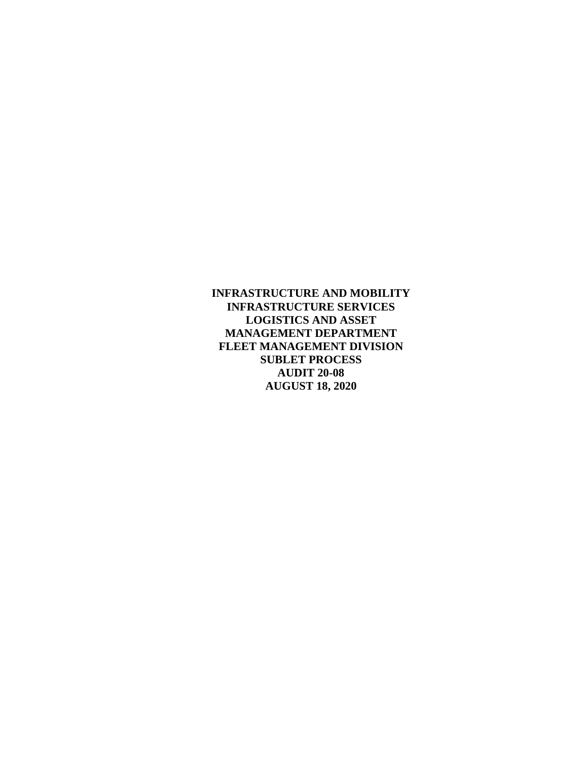**INFRASTRUCTURE AND MOBILITY INFRASTRUCTURE SERVICES LOGISTICS AND ASSET MANAGEMENT DEPARTMENT FLEET MANAGEMENT DIVISION SUBLET PROCESS AUDIT 20-08 AUGUST 18, 2020**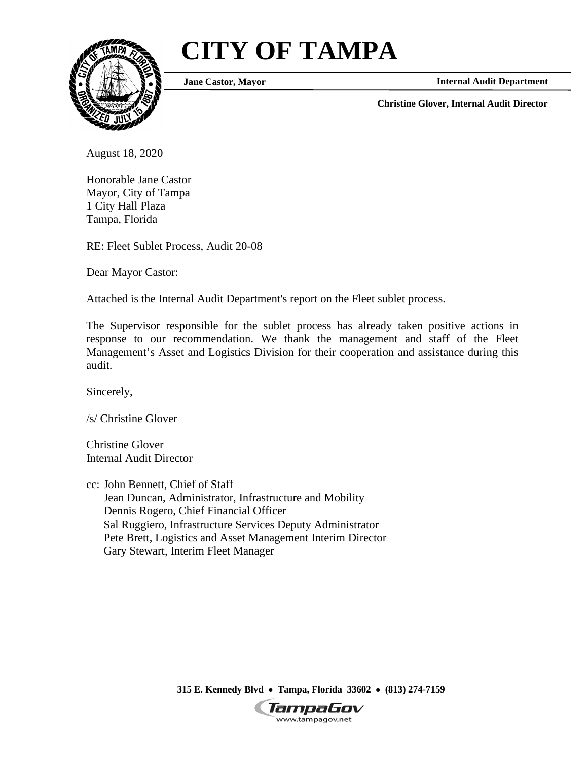# **CITY OF TAMPA**



**Jane Castor, Mayor**

**Internal Audit Department**

**Christine Glover, Internal Audit Director**

August 18, 2020

Honorable Jane Castor Mayor, City of Tampa 1 City Hall Plaza Tampa, Florida

RE: Fleet Sublet Process, Audit 20-08

Dear Mayor Castor:

Attached is the Internal Audit Department's report on the Fleet sublet process.

The Supervisor responsible for the sublet process has already taken positive actions in response to our recommendation. We thank the management and staff of the Fleet Management's Asset and Logistics Division for their cooperation and assistance during this audit.

Sincerely,

/s/ Christine Glover

Christine Glover Internal Audit Director

cc: John Bennett, Chief of Staff Jean Duncan, Administrator, Infrastructure and Mobility Dennis Rogero, Chief Financial Officer Sal Ruggiero, Infrastructure Services Deputy Administrator Pete Brett, Logistics and Asset Management Interim Director Gary Stewart, Interim Fleet Manager

**315 E. Kennedy Blvd** • **Tampa, Florida 33602** • **(813) 274-7159**

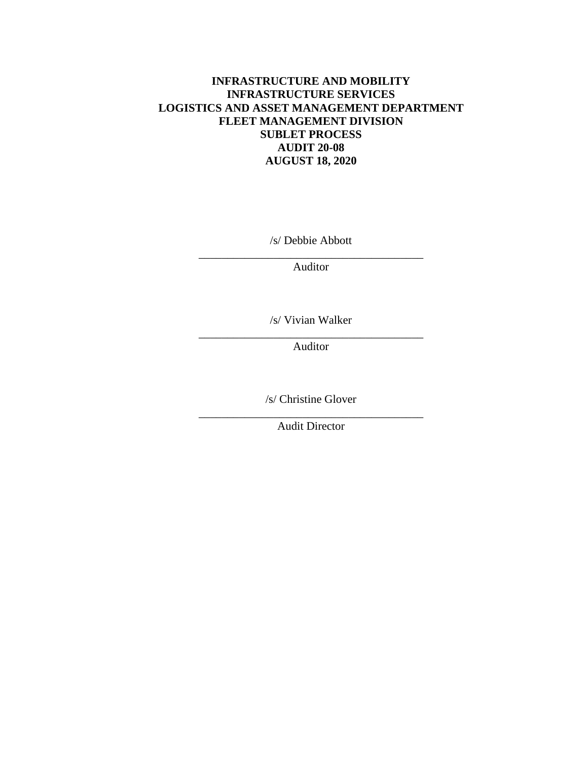# **INFRASTRUCTURE AND MOBILITY INFRASTRUCTURE SERVICES LOGISTICS AND ASSET MANAGEMENT DEPARTMENT FLEET MANAGEMENT DIVISION SUBLET PROCESS AUDIT 20-08 AUGUST 18, 2020**

/s/ Debbie Abbott \_\_\_\_\_\_\_\_\_\_\_\_\_\_\_\_\_\_\_\_\_\_\_\_\_\_\_\_\_\_\_\_\_\_\_\_\_\_\_

Auditor

/s/ Vivian Walker \_\_\_\_\_\_\_\_\_\_\_\_\_\_\_\_\_\_\_\_\_\_\_\_\_\_\_\_\_\_\_\_\_\_\_\_\_\_\_

Auditor

/s/ Christine Glover

\_\_\_\_\_\_\_\_\_\_\_\_\_\_\_\_\_\_\_\_\_\_\_\_\_\_\_\_\_\_\_\_\_\_\_\_\_\_\_ Audit Director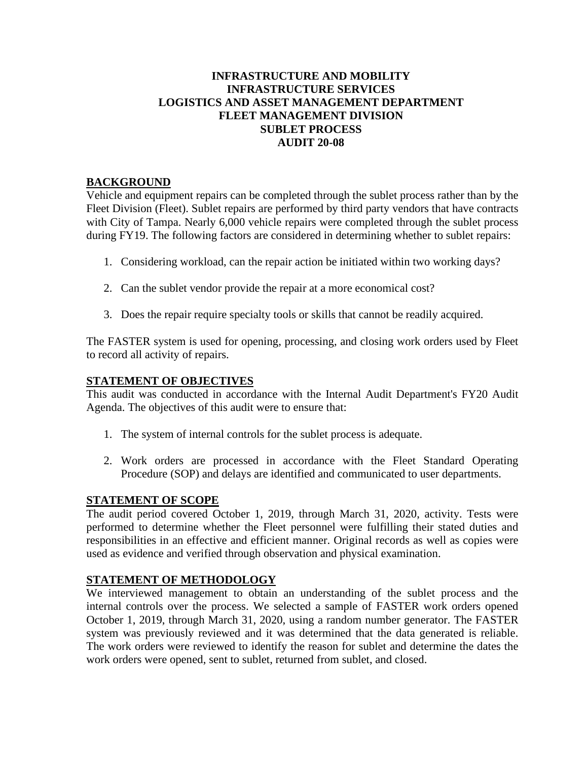# **INFRASTRUCTURE AND MOBILITY INFRASTRUCTURE SERVICES LOGISTICS AND ASSET MANAGEMENT DEPARTMENT FLEET MANAGEMENT DIVISION SUBLET PROCESS AUDIT 20-08**

## **BACKGROUND**

Vehicle and equipment repairs can be completed through the sublet process rather than by the Fleet Division (Fleet). Sublet repairs are performed by third party vendors that have contracts with City of Tampa. Nearly 6,000 vehicle repairs were completed through the sublet process during FY19. The following factors are considered in determining whether to sublet repairs:

- 1. Considering workload, can the repair action be initiated within two working days?
- 2. Can the sublet vendor provide the repair at a more economical cost?
- 3. Does the repair require specialty tools or skills that cannot be readily acquired.

The FASTER system is used for opening, processing, and closing work orders used by Fleet to record all activity of repairs.

## **STATEMENT OF OBJECTIVES**

This audit was conducted in accordance with the Internal Audit Department's FY20 Audit Agenda. The objectives of this audit were to ensure that:

- 1. The system of internal controls for the sublet process is adequate.
- 2. Work orders are processed in accordance with the Fleet Standard Operating Procedure (SOP) and delays are identified and communicated to user departments.

#### **STATEMENT OF SCOPE**

The audit period covered October 1, 2019, through March 31, 2020, activity. Tests were performed to determine whether the Fleet personnel were fulfilling their stated duties and responsibilities in an effective and efficient manner. Original records as well as copies were used as evidence and verified through observation and physical examination.

# **STATEMENT OF METHODOLOGY**

We interviewed management to obtain an understanding of the sublet process and the internal controls over the process. We selected a sample of FASTER work orders opened October 1, 2019, through March 31, 2020, using a random number generator. The FASTER system was previously reviewed and it was determined that the data generated is reliable. The work orders were reviewed to identify the reason for sublet and determine the dates the work orders were opened, sent to sublet, returned from sublet, and closed.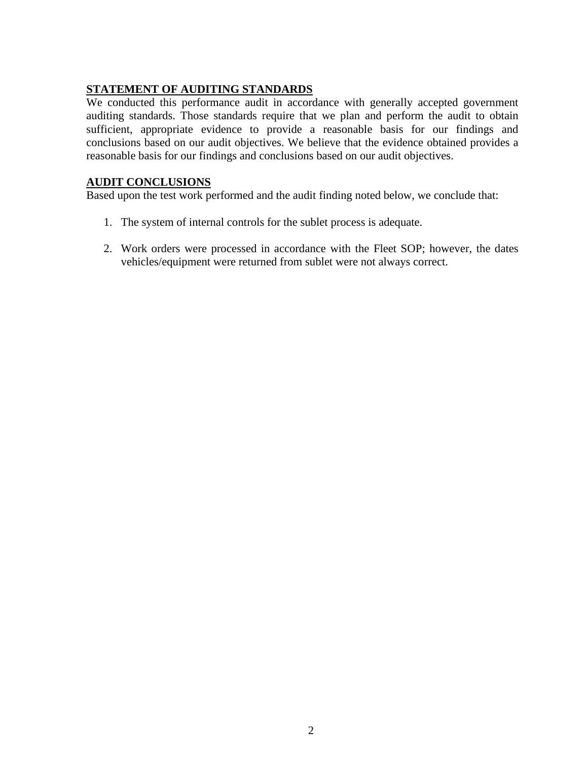# **STATEMENT OF AUDITING STANDARDS**

We conducted this performance audit in accordance with generally accepted government auditing standards. Those standards require that we plan and perform the audit to obtain sufficient, appropriate evidence to provide a reasonable basis for our findings and conclusions based on our audit objectives. We believe that the evidence obtained provides a reasonable basis for our findings and conclusions based on our audit objectives.

## **AUDIT CONCLUSIONS**

Based upon the test work performed and the audit finding noted below, we conclude that:

- 1. The system of internal controls for the sublet process is adequate.
- 2. Work orders were processed in accordance with the Fleet SOP; however, the dates vehicles/equipment were returned from sublet were not always correct.